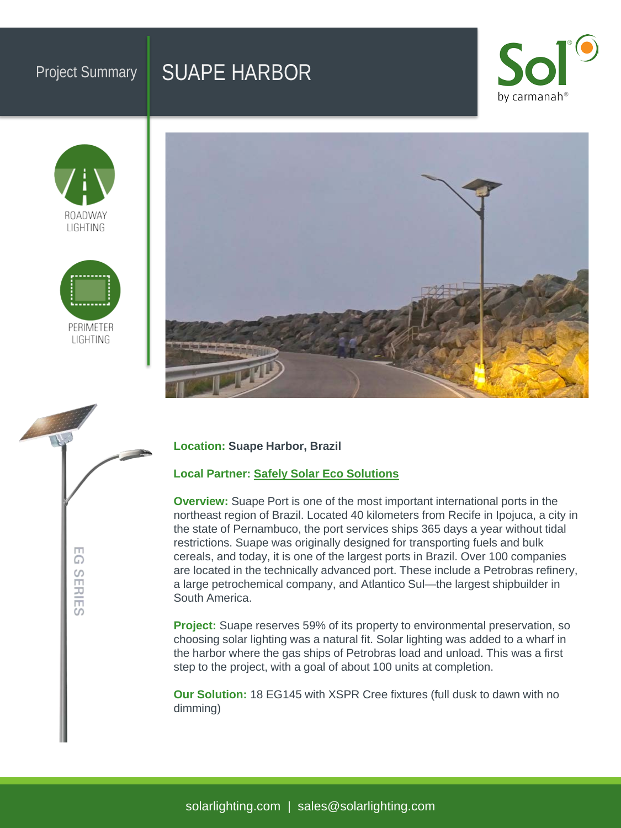# Project Summary | SUAPE HARBOR







EG SERIES



### **Location: Suape Harbor, Brazil**

### **Local Partner: [Safely Solar Eco Solutions](http://www.safelysolar.com.br/)**

**Overview:** Suape Port is one of the most important international ports in the northeast region of Brazil. Located 40 kilometers from Recife in Ipojuca, a city in the state of Pernambuco, the port services ships 365 days a year without tidal restrictions. Suape was originally designed for transporting fuels and bulk cereals, and today, it is one of the largest ports in Brazil. Over 100 companies are located in the technically advanced port. These include a Petrobras refinery, a large petrochemical company, and Atlantico Sul—the largest shipbuilder in South America.

**Project:** Suape reserves 59% of its property to environmental preservation, so choosing solar lighting was a natural fit. Solar lighting was added to a wharf in the harbor where the gas ships of Petrobras load and unload. This was a first step to the project, with a goal of about 100 units at completion.

**Our Solution:** 18 EG145 with XSPR Cree fixtures (full dusk to dawn with no dimming)